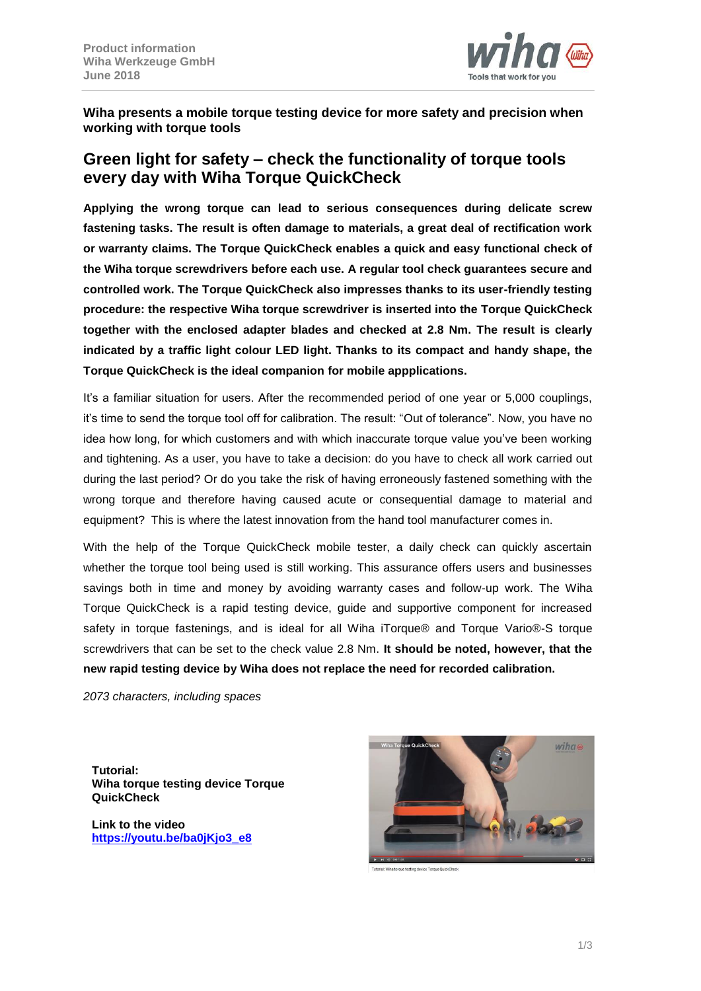

**Wiha presents a mobile torque testing device for more safety and precision when working with torque tools**

# **Green light for safety – check the functionality of torque tools every day with Wiha Torque QuickCheck**

**Applying the wrong torque can lead to serious consequences during delicate screw fastening tasks. The result is often damage to materials, a great deal of rectification work or warranty claims. The Torque QuickCheck enables a quick and easy functional check of the Wiha torque screwdrivers before each use. A regular tool check guarantees secure and controlled work. The Torque QuickCheck also impresses thanks to its user-friendly testing procedure: the respective Wiha torque screwdriver is inserted into the Torque QuickCheck together with the enclosed adapter blades and checked at 2.8 Nm. The result is clearly indicated by a traffic light colour LED light. Thanks to its compact and handy shape, the Torque QuickCheck is the ideal companion for mobile appplications.**

It's a familiar situation for users. After the recommended period of one year or 5,000 couplings, it's time to send the torque tool off for calibration. The result: "Out of tolerance". Now, you have no idea how long, for which customers and with which inaccurate torque value you've been working and tightening. As a user, you have to take a decision: do you have to check all work carried out during the last period? Or do you take the risk of having erroneously fastened something with the wrong torque and therefore having caused acute or consequential damage to material and equipment? This is where the latest innovation from the hand tool manufacturer comes in.

With the help of the Torque QuickCheck mobile tester, a daily check can quickly ascertain whether the torque tool being used is still working. This assurance offers users and businesses savings both in time and money by avoiding warranty cases and follow-up work. The Wiha Torque QuickCheck is a rapid testing device, guide and supportive component for increased safety in torque fastenings, and is ideal for all Wiha iTorque<sup>®</sup> and Torque Vario<sup>®</sup>-S torque screwdrivers that can be set to the check value 2.8 Nm. **It should be noted, however, that the new rapid testing device by Wiha does not replace the need for recorded calibration.**

*2073 characters, including spaces*

**Tutorial: Wiha torque testing device Torque QuickCheck**

**Link to the video [https://youtu.be/ba0jKjo3\\_e8](https://youtu.be/ba0jKjo3_e8)**

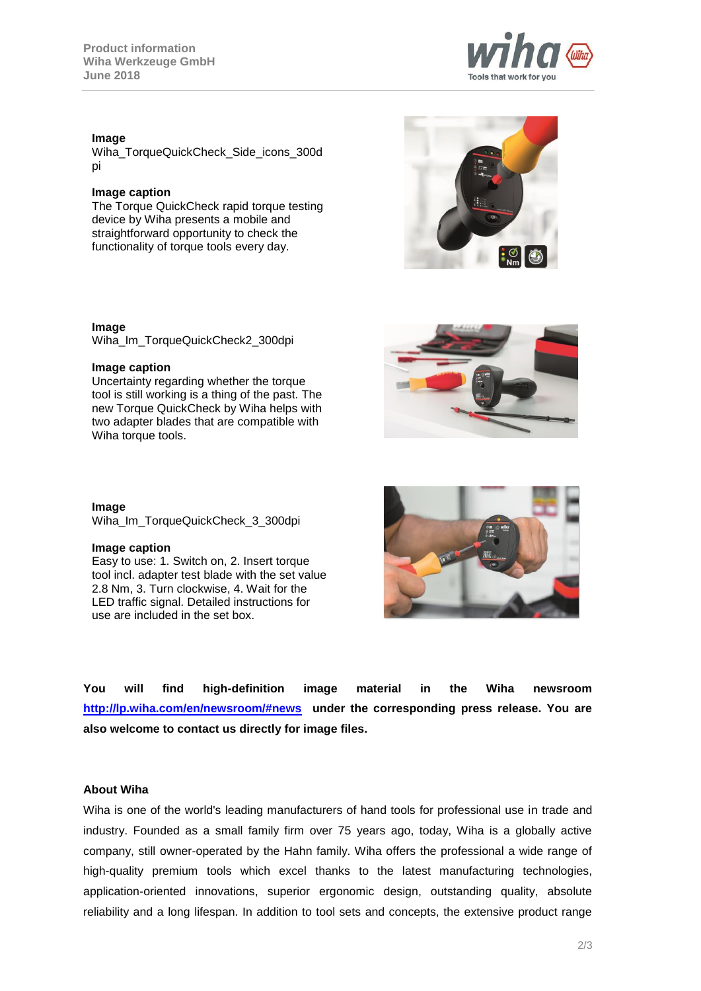## **Image**

Wiha\_TorqueQuickCheck\_Side\_icons\_300d pi

#### **Image caption**

The Torque QuickCheck rapid torque testing device by Wiha presents a mobile and straightforward opportunity to check the functionality of torque tools every day.

### **Image**

Wiha\_Im\_TorqueQuickCheck2\_300dpi

#### **Image caption**

Uncertainty regarding whether the torque tool is still working is a thing of the past. The new Torque QuickCheck by Wiha helps with two adapter blades that are compatible with Wiha torque tools.

**Image** Wiha\_Im\_TorqueQuickCheck\_3\_300dpi

#### **Image caption**

Easy to use: 1. Switch on, 2. Insert torque tool incl. adapter test blade with the set value 2.8 Nm, 3. Turn clockwise, 4. Wait for the LED traffic signal. Detailed instructions for use are included in the set box.

**You will find high-definition image material in the Wiha newsroom <http://lp.wiha.com/en/newsroom/#news> under the corresponding press release. You are also welcome to contact us directly for image files.**

#### **About Wiha**

Wiha is one of the world's leading manufacturers of hand tools for professional use in trade and industry. Founded as a small family firm over 75 years ago, today, Wiha is a globally active company, still owner-operated by the Hahn family. Wiha offers the professional a wide range of high-quality premium tools which excel thanks to the latest manufacturing technologies, application-oriented innovations, superior ergonomic design, outstanding quality, absolute reliability and a long lifespan. In addition to tool sets and concepts, the extensive product range